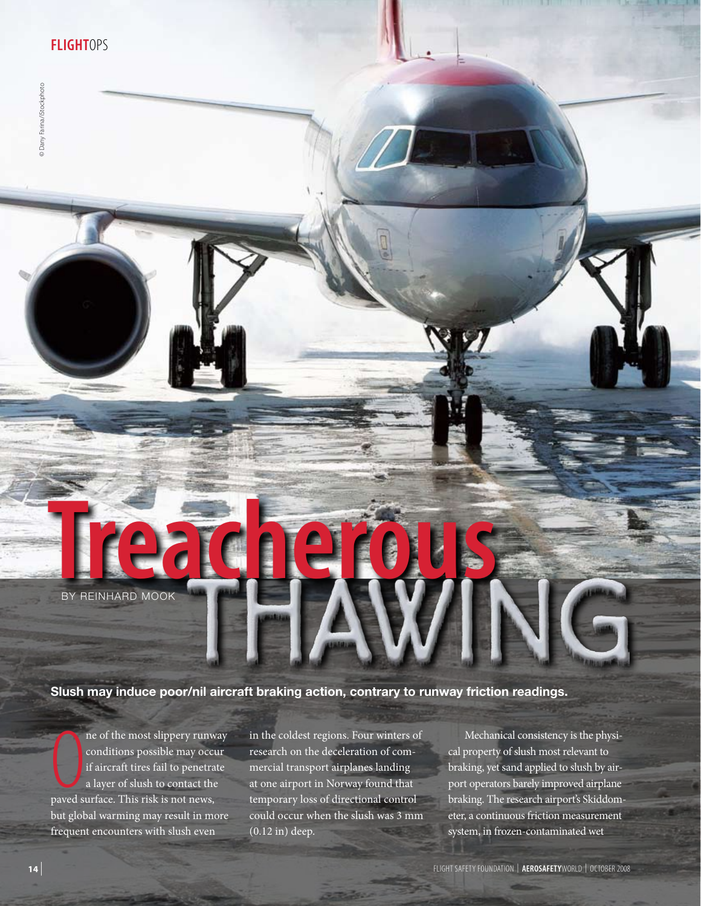© Dany Farina/iStockphoto

C Dany Farina/IStockphoto

# By Reinhard Mook BY REINHARD MOOK

# **Slush may induce poor/nil aircraft braking action, contrary to runway friction readings.**

ne of the most slippery runw<br>conditions possible may occur<br>if aircraft tires fail to penetra<br>a layer of slush to contact the<br>paved surface. This risk is not news, ne of the most slippery runway conditions possible may occur if aircraft tires fail to penetrate a layer of slush to contact the but global warming may result in more frequent encounters with slush even

in the coldest regions. Four winters of research on the deceleration of commercial transport airplanes landing at one airport in Norway found that temporary loss of directional control could occur when the slush was 3 mm (0.12 in) deep.

Mechanical consistency is the physical property of slush most relevant to braking, yet sand applied to slush by airport operators barely improved airplane braking. The research airport's Skiddometer, a continuous friction measurement system, in frozen-contaminated wet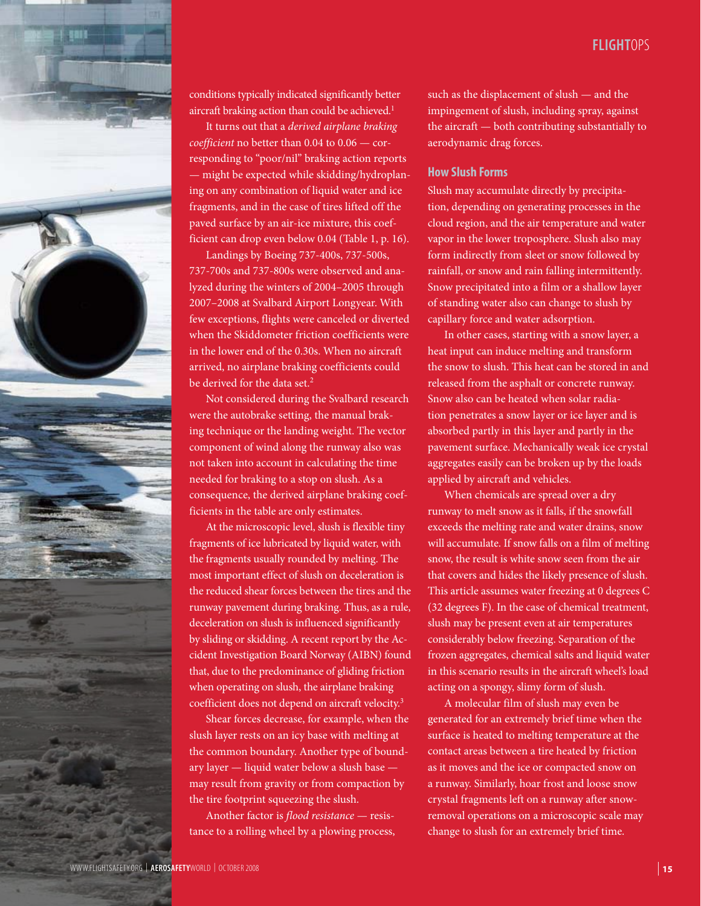

conditions typically indicated significantly better aircraft braking action than could be achieved.<sup>1</sup>

It turns out that a *derived airplane braking coefficient* no better than 0.04 to 0.06 — corresponding to "poor/nil" braking action reports — might be expected while skidding/hydroplaning on any combination of liquid water and ice fragments, and in the case of tires lifted off the paved surface by an air-ice mixture, this coefficient can drop even below 0.04 (Table 1, p. 16).

Landings by Boeing 737-400s, 737-500s, 737-700s and 737-800s were observed and analyzed during the winters of 2004–2005 through 2007–2008 at Svalbard Airport Longyear. With few exceptions, flights were canceled or diverted when the Skiddometer friction coefficients were in the lower end of the 0.30s. When no aircraft arrived, no airplane braking coefficients could be derived for the data set.<sup>2</sup>

Not considered during the Svalbard research were the autobrake setting, the manual braking technique or the landing weight. The vector component of wind along the runway also was not taken into account in calculating the time needed for braking to a stop on slush. As a consequence, the derived airplane braking coefficients in the table are only estimates.

At the microscopic level, slush is flexible tiny fragments of ice lubricated by liquid water, with the fragments usually rounded by melting. The most important effect of slush on deceleration is the reduced shear forces between the tires and the runway pavement during braking. Thus, as a rule, deceleration on slush is influenced significantly by sliding or skidding. A recent report by the Accident Investigation Board Norway (AIBN) found that, due to the predominance of gliding friction when operating on slush, the airplane braking coefficient does not depend on aircraft velocity.3

Shear forces decrease, for example, when the slush layer rests on an icy base with melting at the common boundary. Another type of boundary layer — liquid water below a slush base may result from gravity or from compaction by the tire footprint squeezing the slush.

Another factor is *flood resistance* — resistance to a rolling wheel by a plowing process, such as the displacement of slush — and the impingement of slush, including spray, against the aircraft — both contributing substantially to aerodynamic drag forces.

## **How Slush Forms**

Slush may accumulate directly by precipitation, depending on generating processes in the cloud region, and the air temperature and water vapor in the lower troposphere. Slush also may form indirectly from sleet or snow followed by rainfall, or snow and rain falling intermittently. Snow precipitated into a film or a shallow layer of standing water also can change to slush by capillary force and water adsorption.

In other cases, starting with a snow layer, a heat input can induce melting and transform the snow to slush. This heat can be stored in and released from the asphalt or concrete runway. Snow also can be heated when solar radiation penetrates a snow layer or ice layer and is absorbed partly in this layer and partly in the pavement surface. Mechanically weak ice crystal aggregates easily can be broken up by the loads applied by aircraft and vehicles.

When chemicals are spread over a dry runway to melt snow as it falls, if the snowfall exceeds the melting rate and water drains, snow will accumulate. If snow falls on a film of melting snow, the result is white snow seen from the air that covers and hides the likely presence of slush. This article assumes water freezing at 0 degrees C (32 degrees F). In the case of chemical treatment, slush may be present even at air temperatures considerably below freezing. Separation of the frozen aggregates, chemical salts and liquid water in this scenario results in the aircraft wheel's load acting on a spongy, slimy form of slush.

A molecular film of slush may even be generated for an extremely brief time when the surface is heated to melting temperature at the contact areas between a tire heated by friction as it moves and the ice or compacted snow on a runway. Similarly, hoar frost and loose snow crystal fragments left on a runway after snowremoval operations on a microscopic scale may change to slush for an extremely brief time.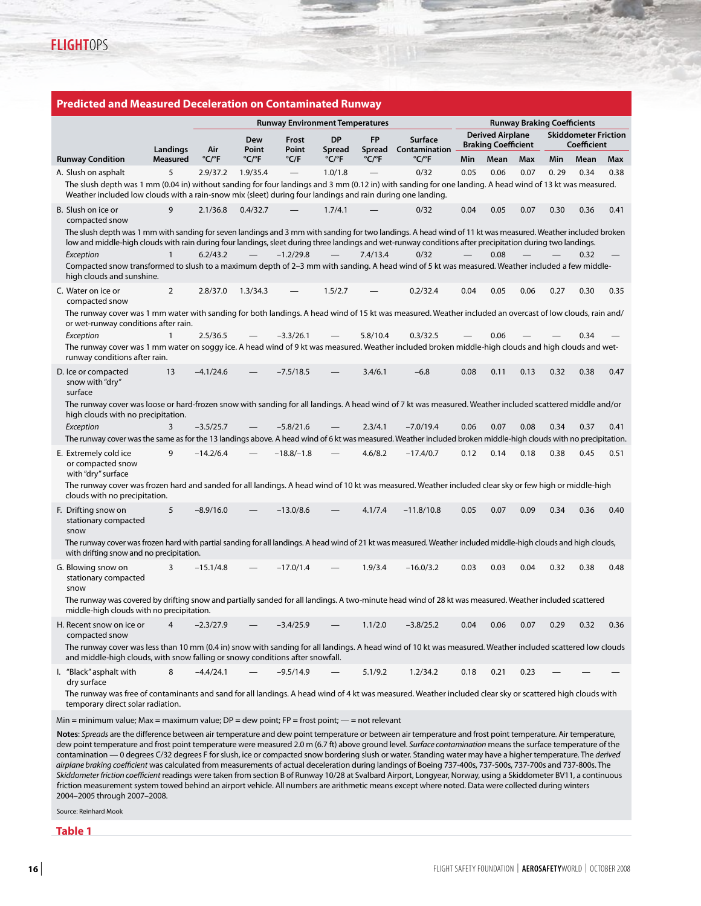|                                                                                                                                                                                                                                                                                                                               |                                                                                                                                                                                                             | <b>Runway Environment Temperatures</b> |                            |                |                            |                            |                                 | <b>Runway Braking Coefficients</b>                    |      |      |                                                   |      |      |
|-------------------------------------------------------------------------------------------------------------------------------------------------------------------------------------------------------------------------------------------------------------------------------------------------------------------------------|-------------------------------------------------------------------------------------------------------------------------------------------------------------------------------------------------------------|----------------------------------------|----------------------------|----------------|----------------------------|----------------------------|---------------------------------|-------------------------------------------------------|------|------|---------------------------------------------------|------|------|
| Landings                                                                                                                                                                                                                                                                                                                      |                                                                                                                                                                                                             | Air                                    | Dew<br>Point               | Frost<br>Point | <b>DP</b><br>Spread        | <b>FP</b><br>Spread        | <b>Surface</b><br>Contamination | <b>Derived Airplane</b><br><b>Braking Coefficient</b> |      |      | <b>Skiddometer Friction</b><br><b>Coefficient</b> |      |      |
| <b>Runway Condition</b>                                                                                                                                                                                                                                                                                                       | <b>Measured</b>                                                                                                                                                                                             | $^{\circ}$ C/ $^{\circ}$ F             | $^{\circ}$ C/ $^{\circ}$ F | $°C$ F         | $^{\circ}$ C/ $^{\circ}$ F | $^{\circ}$ C/ $^{\circ}$ F | $^{\circ}$ C/ $^{\circ}$ F      | Min                                                   | Mean | Max  | Min                                               | Mean | Max  |
| A. Slush on asphalt                                                                                                                                                                                                                                                                                                           | 5                                                                                                                                                                                                           | 2.9/37.2                               | 1.9/35.4                   |                | 1.0/1.8                    |                            | 0/32                            | 0.05                                                  | 0.06 | 0.07 | 0.29                                              | 0.34 | 0.38 |
| The slush depth was 1 mm (0.04 in) without sanding for four landings and 3 mm (0.12 in) with sanding for one landing. A head wind of 13 kt was measured.<br>Weather included low clouds with a rain-snow mix (sleet) during four landings and rain during one landing.                                                        |                                                                                                                                                                                                             |                                        |                            |                |                            |                            |                                 |                                                       |      |      |                                                   |      |      |
| B. Slush on ice or<br>compacted snow                                                                                                                                                                                                                                                                                          | 9                                                                                                                                                                                                           | 2.1/36.8                               | 0.4/32.7                   |                | 1.7/4.1                    |                            | 0/32                            | 0.04                                                  | 0.05 | 0.07 | 0.30                                              | 0.36 | 0.41 |
| The slush depth was 1 mm with sanding for seven landings and 3 mm with sanding for two landings. A head wind of 11 kt was measured. Weather included broken<br>low and middle-high clouds with rain during four landings, sleet during three landings and wet-runway conditions after precipitation during two landings.      |                                                                                                                                                                                                             |                                        |                            |                |                            |                            |                                 |                                                       |      |      |                                                   |      |      |
| Exception                                                                                                                                                                                                                                                                                                                     | $\mathbf{1}$                                                                                                                                                                                                | 6.2/43.2                               |                            | $-1.2/29.8$    |                            | 7.4/13.4                   | 0/32                            |                                                       | 0.08 |      |                                                   | 0.32 |      |
| Compacted snow transformed to slush to a maximum depth of 2-3 mm with sanding. A head wind of 5 kt was measured. Weather included a few middle-<br>high clouds and sunshine.                                                                                                                                                  |                                                                                                                                                                                                             |                                        |                            |                |                            |                            |                                 |                                                       |      |      |                                                   |      |      |
| C. Water on ice or<br>compacted snow                                                                                                                                                                                                                                                                                          | 2                                                                                                                                                                                                           | 2.8/37.0                               | 1.3/34.3                   |                | 1.5/2.7                    |                            | 0.2/32.4                        | 0.04                                                  | 0.05 | 0.06 | 0.27                                              | 0.30 | 0.35 |
| The runway cover was 1 mm water with sanding for both landings. A head wind of 15 kt was measured. Weather included an overcast of low clouds, rain and/<br>or wet-runway conditions after rain.                                                                                                                              |                                                                                                                                                                                                             |                                        |                            |                |                            |                            |                                 |                                                       |      |      |                                                   |      |      |
| Exception                                                                                                                                                                                                                                                                                                                     | $\mathbf{1}$                                                                                                                                                                                                | 2.5/36.5                               |                            | $-3.3/26.1$    |                            | 5.8/10.4                   | 0.3/32.5                        |                                                       | 0.06 |      |                                                   | 0.34 |      |
| The runway cover was 1 mm water on soggy ice. A head wind of 9 kt was measured. Weather included broken middle-high clouds and high clouds and wet-<br>runway conditions after rain.                                                                                                                                          |                                                                                                                                                                                                             |                                        |                            |                |                            |                            |                                 |                                                       |      |      |                                                   |      |      |
| D. Ice or compacted<br>snow with "dry"<br>surface                                                                                                                                                                                                                                                                             | 13                                                                                                                                                                                                          | $-4.1/24.6$                            |                            | $-7.5/18.5$    |                            | 3.4/6.1                    | $-6.8$                          | 0.08                                                  | 0.11 | 0.13 | 0.32                                              | 0.38 | 0.47 |
| The runway cover was loose or hard-frozen snow with sanding for all landings. A head wind of 7 kt was measured. Weather included scattered middle and/or<br>high clouds with no precipitation.                                                                                                                                |                                                                                                                                                                                                             |                                        |                            |                |                            |                            |                                 |                                                       |      |      |                                                   |      |      |
| Exception                                                                                                                                                                                                                                                                                                                     | 3                                                                                                                                                                                                           | $-3.5/25.7$                            |                            | $-5.8/21.6$    |                            | 2.3/4.1                    | $-7.0/19.4$                     | 0.06                                                  | 0.07 | 0.08 | 0.34                                              | 0.37 | 0.41 |
| The runway cover was the same as for the 13 landings above. A head wind of 6 kt was measured. Weather included broken middle-high clouds with no precipitation.                                                                                                                                                               |                                                                                                                                                                                                             |                                        |                            |                |                            |                            |                                 |                                                       |      |      |                                                   |      |      |
| E. Extremely cold ice<br>or compacted snow<br>with "dry" surface                                                                                                                                                                                                                                                              | 9                                                                                                                                                                                                           | $-14.2/6.4$                            |                            | $-18.8/-1.8$   |                            | 4.6/8.2                    | $-17.4/0.7$                     | 0.12                                                  | 0.14 | 0.18 | 0.38                                              | 0.45 | 0.51 |
| The runway cover was frozen hard and sanded for all landings. A head wind of 10 kt was measured. Weather included clear sky or few high or middle-high<br>clouds with no precipitation.                                                                                                                                       |                                                                                                                                                                                                             |                                        |                            |                |                            |                            |                                 |                                                       |      |      |                                                   |      |      |
| F. Drifting snow on<br>stationary compacted<br>snow                                                                                                                                                                                                                                                                           | 5                                                                                                                                                                                                           | $-8.9/16.0$                            |                            | $-13.0/8.6$    |                            | 4.1/7.4                    | $-11.8/10.8$                    | 0.05                                                  | 0.07 | 0.09 | 0.34                                              | 0.36 | 0.40 |
|                                                                                                                                                                                                                                                                                                                               | The runway cover was frozen hard with partial sanding for all landings. A head wind of 21 kt was measured. Weather included middle-high clouds and high clouds,<br>with drifting snow and no precipitation. |                                        |                            |                |                            |                            |                                 |                                                       |      |      |                                                   |      |      |
| G. Blowing snow on<br>stationary compacted<br>snow                                                                                                                                                                                                                                                                            | 3                                                                                                                                                                                                           | $-15.1/4.8$                            |                            | $-17.0/1.4$    |                            | 1.9/3.4                    | $-16.0/3.2$                     | 0.03                                                  | 0.03 | 0.04 | 0.32                                              | 0.38 | 0.48 |
| The runway was covered by drifting snow and partially sanded for all landings. A two-minute head wind of 28 kt was measured. Weather included scattered<br>middle-high clouds with no precipitation.                                                                                                                          |                                                                                                                                                                                                             |                                        |                            |                |                            |                            |                                 |                                                       |      |      |                                                   |      |      |
| H. Recent snow on ice or $4 -2.3/27.9$                                                                                                                                                                                                                                                                                        |                                                                                                                                                                                                             |                                        |                            | -3.4/25.9      |                            | 1.1/2.0                    | $-3.8/25.2$                     | 0.04                                                  | 0.06 | 0.07 | 0.29                                              | 0.32 | 0.36 |
| compacted snow                                                                                                                                                                                                                                                                                                                |                                                                                                                                                                                                             |                                        |                            |                |                            |                            |                                 |                                                       |      |      |                                                   |      |      |
| The runway cover was less than 10 mm (0.4 in) snow with sanding for all landings. A head wind of 10 kt was measured. Weather included scattered low clouds<br>and middle-high clouds, with snow falling or snowy conditions after snowfall.                                                                                   |                                                                                                                                                                                                             |                                        |                            |                |                            |                            |                                 |                                                       |      |      |                                                   |      |      |
| I. "Black" asphalt with<br>dry surface                                                                                                                                                                                                                                                                                        | 8                                                                                                                                                                                                           | $-4.4/24.1$                            |                            | $-9.5/14.9$    |                            | 5.1/9.2                    | 1.2/34.2                        | 0.18                                                  | 0.21 | 0.23 |                                                   |      |      |
| The runway was free of contaminants and sand for all landings. A head wind of 4 kt was measured. Weather included clear sky or scattered high clouds with<br>temporary direct solar radiation.                                                                                                                                |                                                                                                                                                                                                             |                                        |                            |                |                            |                            |                                 |                                                       |      |      |                                                   |      |      |
| Min = minimum value; Max = maximum value; DP = dew point; FP = frost point; $-$ = not relevant                                                                                                                                                                                                                                |                                                                                                                                                                                                             |                                        |                            |                |                            |                            |                                 |                                                       |      |      |                                                   |      |      |
| Notes: Spreads are the difference between air temperature and dew point temperature or between air temperature and frost point temperature. Air temperature,<br>dew point temperature and frost point temperature were measured 2.0 m (6.7 ft) above ground level. Surface contamination means the surface temperature of the |                                                                                                                                                                                                             |                                        |                            |                |                            |                            |                                 |                                                       |      |      |                                                   |      |      |

contamination — 0 degrees C/32 degrees F for slush, ice or compacted snow bordering slush or water. Standing water may have a higher temperature. The *derived airplane braking coefficient* was calculated from measurements of actual deceleration during landings of Boeing 737-400s, 737-500s, 737-700s and 737-800s. The *Skiddometer friction coefficient* readings were taken from section B of Runway 10/28 at Svalbard Airport, Longyear, Norway, using a Skiddometer BV11, a continuous friction measurement system towed behind an airport vehicle. All numbers are arithmetic means except where noted. Data were collected during winters 2004–2005 through 2007–2008.

Source: Reinhard Mook

**Table 1**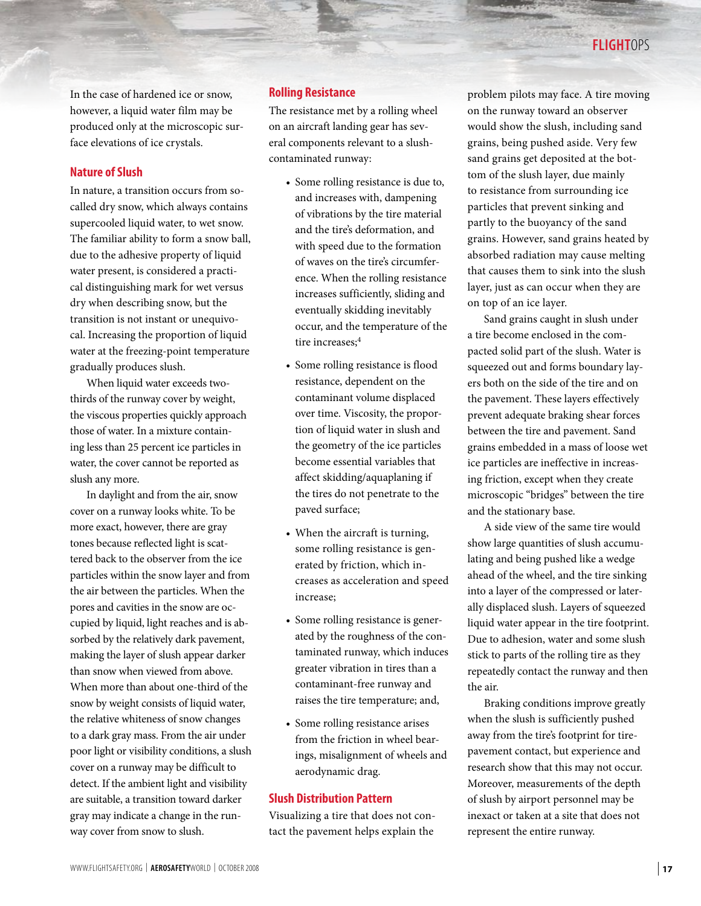In the case of hardened ice or snow, however, a liquid water film may be produced only at the microscopic surface elevations of ice crystals.

## **Nature of Slush**

In nature, a transition occurs from socalled dry snow, which always contains supercooled liquid water, to wet snow. The familiar ability to form a snow ball, due to the adhesive property of liquid water present, is considered a practical distinguishing mark for wet versus dry when describing snow, but the transition is not instant or unequivocal. Increasing the proportion of liquid water at the freezing-point temperature gradually produces slush.

When liquid water exceeds twothirds of the runway cover by weight, the viscous properties quickly approach those of water. In a mixture containing less than 25 percent ice particles in water, the cover cannot be reported as slush any more.

In daylight and from the air, snow cover on a runway looks white. To be more exact, however, there are gray tones because reflected light is scattered back to the observer from the ice particles within the snow layer and from the air between the particles. When the pores and cavities in the snow are occupied by liquid, light reaches and is absorbed by the relatively dark pavement, making the layer of slush appear darker than snow when viewed from above. When more than about one-third of the snow by weight consists of liquid water, the relative whiteness of snow changes to a dark gray mass. From the air under poor light or visibility conditions, a slush cover on a runway may be difficult to detect. If the ambient light and visibility are suitable, a transition toward darker gray may indicate a change in the runway cover from snow to slush.

# **Rolling Resistance**

The resistance met by a rolling wheel on an aircraft landing gear has several components relevant to a slushcontaminated runway:

- Some rolling resistance is due to, and increases with, dampening of vibrations by the tire material and the tire's deformation, and with speed due to the formation of waves on the tire's circumference. When the rolling resistance increases sufficiently, sliding and eventually skidding inevitably occur, and the temperature of the tire increases;<sup>4</sup>
- Some rolling resistance is flood resistance, dependent on the contaminant volume displaced over time. Viscosity, the proportion of liquid water in slush and the geometry of the ice particles become essential variables that affect skidding/aquaplaning if the tires do not penetrate to the paved surface;
- When the aircraft is turning, some rolling resistance is generated by friction, which increases as acceleration and speed increase;
- Some rolling resistance is generated by the roughness of the contaminated runway, which induces greater vibration in tires than a contaminant-free runway and raises the tire temperature; and,
- Some rolling resistance arises from the friction in wheel bearings, misalignment of wheels and aerodynamic drag.

# **Slush Distribution Pattern**

Visualizing a tire that does not contact the pavement helps explain the

problem pilots may face. A tire moving on the runway toward an observer would show the slush, including sand grains, being pushed aside. Very few sand grains get deposited at the bottom of the slush layer, due mainly to resistance from surrounding ice particles that prevent sinking and partly to the buoyancy of the sand grains. However, sand grains heated by absorbed radiation may cause melting that causes them to sink into the slush layer, just as can occur when they are on top of an ice layer.

Sand grains caught in slush under a tire become enclosed in the compacted solid part of the slush. Water is squeezed out and forms boundary layers both on the side of the tire and on the pavement. These layers effectively prevent adequate braking shear forces between the tire and pavement. Sand grains embedded in a mass of loose wet ice particles are ineffective in increasing friction, except when they create microscopic "bridges" between the tire and the stationary base.

A side view of the same tire would show large quantities of slush accumulating and being pushed like a wedge ahead of the wheel, and the tire sinking into a layer of the compressed or laterally displaced slush. Layers of squeezed liquid water appear in the tire footprint. Due to adhesion, water and some slush stick to parts of the rolling tire as they repeatedly contact the runway and then the air.

Braking conditions improve greatly when the slush is sufficiently pushed away from the tire's footprint for tirepavement contact, but experience and research show that this may not occur. Moreover, measurements of the depth of slush by airport personnel may be inexact or taken at a site that does not represent the entire runway.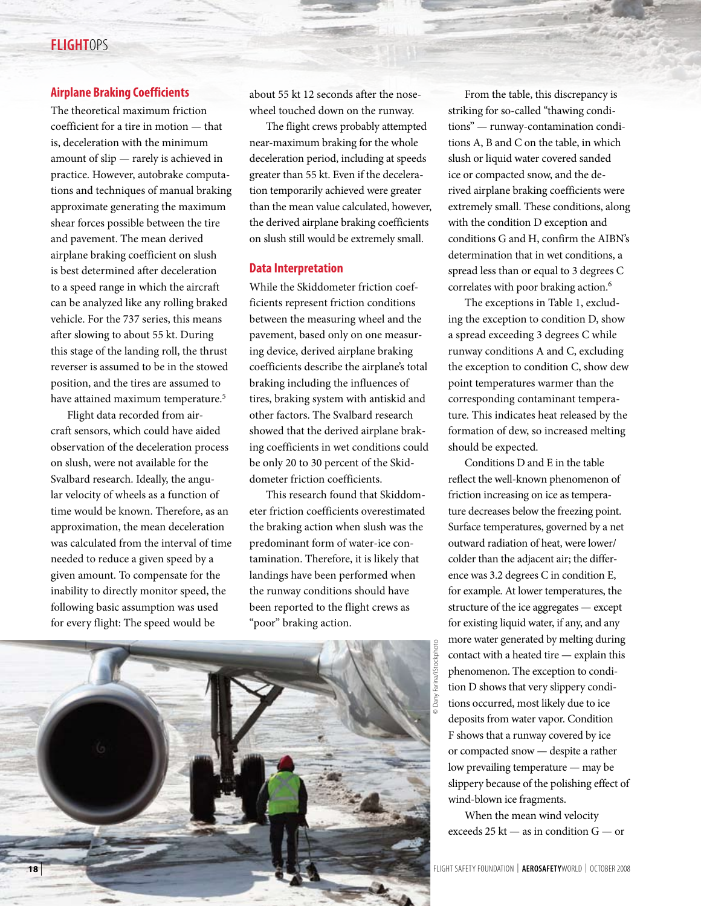# **FLIGHT**ops

## **Airplane Braking Coefficients**

The theoretical maximum friction coefficient for a tire in motion — that is, deceleration with the minimum amount of slip — rarely is achieved in practice. However, autobrake computations and techniques of manual braking approximate generating the maximum shear forces possible between the tire and pavement. The mean derived airplane braking coefficient on slush is best determined after deceleration to a speed range in which the aircraft can be analyzed like any rolling braked vehicle. For the 737 series, this means after slowing to about 55 kt. During this stage of the landing roll, the thrust reverser is assumed to be in the stowed position, and the tires are assumed to have attained maximum temperature.<sup>5</sup>

Flight data recorded from aircraft sensors, which could have aided observation of the deceleration process on slush, were not available for the Svalbard research. Ideally, the angular velocity of wheels as a function of time would be known. Therefore, as an approximation, the mean deceleration was calculated from the interval of time needed to reduce a given speed by a given amount. To compensate for the inability to directly monitor speed, the following basic assumption was used for every flight: The speed would be

about 55 kt 12 seconds after the nosewheel touched down on the runway.

The flight crews probably attempted near-maximum braking for the whole deceleration period, including at speeds greater than 55 kt. Even if the deceleration temporarily achieved were greater than the mean value calculated, however, the derived airplane braking coefficients on slush still would be extremely small.

#### **Data Interpretation**

While the Skiddometer friction coefficients represent friction conditions between the measuring wheel and the pavement, based only on one measuring device, derived airplane braking coefficients describe the airplane's total braking including the influences of tires, braking system with antiskid and other factors. The Svalbard research showed that the derived airplane braking coefficients in wet conditions could be only 20 to 30 percent of the Skiddometer friction coefficients.

This research found that Skiddometer friction coefficients overestimated the braking action when slush was the predominant form of water-ice contamination. Therefore, it is likely that landings have been performed when the runway conditions should have been reported to the flight crews as "poor" braking action.



From the table, this discrepancy is striking for so-called "thawing conditions" — runway-contamination conditions A, B and C on the table, in which slush or liquid water covered sanded ice or compacted snow, and the derived airplane braking coefficients were extremely small. These conditions, along with the condition D exception and conditions G and H, confirm the AIBN's determination that in wet conditions, a spread less than or equal to 3 degrees C correlates with poor braking action.<sup>6</sup>

The exceptions in Table 1, excluding the exception to condition D, show a spread exceeding 3 degrees C while runway conditions A and C, excluding the exception to condition C, show dew point temperatures warmer than the corresponding contaminant temperature. This indicates heat released by the formation of dew, so increased melting should be expected.

Conditions D and E in the table reflect the well-known phenomenon of friction increasing on ice as temperature decreases below the freezing point. Surface temperatures, governed by a net outward radiation of heat, were lower/ colder than the adjacent air; the difference was 3.2 degrees C in condition E, for example. At lower temperatures, the structure of the ice aggregates — except for existing liquid water, if any, and any more water generated by melting during contact with a heated tire — explain this phenomenon. The exception to condition D shows that very slippery conditions occurred, most likely due to ice deposits from water vapor. Condition F shows that a runway covered by ice or compacted snow — despite a rather low prevailing temperature — may be slippery because of the polishing effect of wind-blown ice fragments.

© Dany Farina/iStockphotona/iStockphoto

> When the mean wind velocity exceeds 25 kt — as in condition G — or